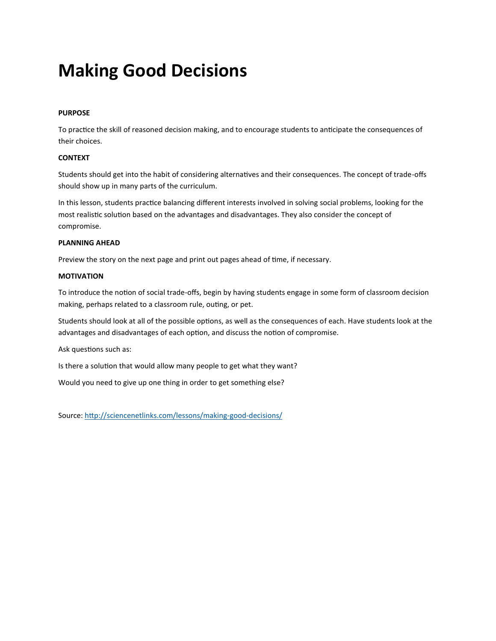# **Making Good Decisions**

## **PURPOSE**

To practice the skill of reasoned decision making, and to encourage students to anticipate the consequences of their choices.

#### **CONTEXT**

Students should get into the habit of considering alternatives and their consequences. The concept of trade-offs should show up in many parts of the curriculum.

In this lesson, students practice balancing different interests involved in solving social problems, looking for the most realistic solution based on the advantages and disadvantages. They also consider the concept of compromise.

## **PLANNING AHEAD**

Preview the story on the next page and print out pages ahead of time, if necessary.

#### **MOTIVATION**

To introduce the notion of social trade-offs, begin by having students engage in some form of classroom decision making, perhaps related to a classroom rule, outing, or pet.

Students should look at all of the possible options, as well as the consequences of each. Have students look at the advantages and disadvantages of each option, and discuss the notion of compromise.

Ask questions such as:

Is there a solution that would allow many people to get what they want?

Would you need to give up one thing in order to get something else?

Source[: http://sciencenetlinks.com/lessons/making-good-decisions/](http://sciencenetlinks.com/lessons/making-good-decisions/)